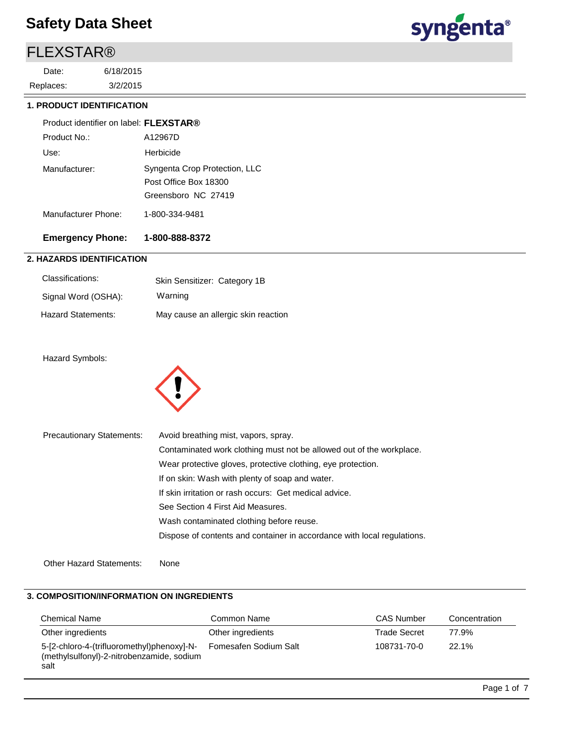### FLEXSTAR®

3/2/2015 6/18/2015 Replaces: Date:



#### **1. PRODUCT IDENTIFICATION**

| Product identifier on label: FLEXSTAR® |                                                                               |
|----------------------------------------|-------------------------------------------------------------------------------|
| Product No.:                           | A12967D                                                                       |
| Use:                                   | Herbicide                                                                     |
| Manufacturer:                          | Syngenta Crop Protection, LLC<br>Post Office Box 18300<br>Greensboro NC 27419 |
| Manufacturer Phone:                    | 1-800-334-9481                                                                |

#### **Emergency Phone: 1-800-888-8372**

#### **2. HAZARDS IDENTIFICATION**

| Classifications:    | Skin Sensitizer: Category 1B        |
|---------------------|-------------------------------------|
| Signal Word (OSHA): | Warning                             |
| Hazard Statements:  | May cause an allergic skin reaction |

#### Hazard Symbols:



| <b>Precautionary Statements:</b> | Avoid breathing mist, vapors, spray.                                    |
|----------------------------------|-------------------------------------------------------------------------|
|                                  | Contaminated work clothing must not be allowed out of the workplace.    |
|                                  | Wear protective gloves, protective clothing, eye protection.            |
|                                  | If on skin: Wash with plenty of soap and water.                         |
|                                  | If skin irritation or rash occurs: Get medical advice.                  |
|                                  | See Section 4 First Aid Measures.                                       |
|                                  | Wash contaminated clothing before reuse.                                |
|                                  | Dispose of contents and container in accordance with local regulations. |
|                                  |                                                                         |
| <b>Other Hazard Statements:</b>  | None                                                                    |

#### **3. COMPOSITION/INFORMATION ON INGREDIENTS**

| <b>Chemical Name</b>                                                                            | Common Name           | <b>CAS Number</b> | Concentration |
|-------------------------------------------------------------------------------------------------|-----------------------|-------------------|---------------|
| Other ingredients                                                                               | Other ingredients     | Trade Secret      | 77.9%         |
| 5-[2-chloro-4-(trifluoromethyl)phenoxy]-N-<br>(methylsulfonyl)-2-nitrobenzamide, sodium<br>salt | Fomesafen Sodium Salt | 108731-70-0       | 22.1%         |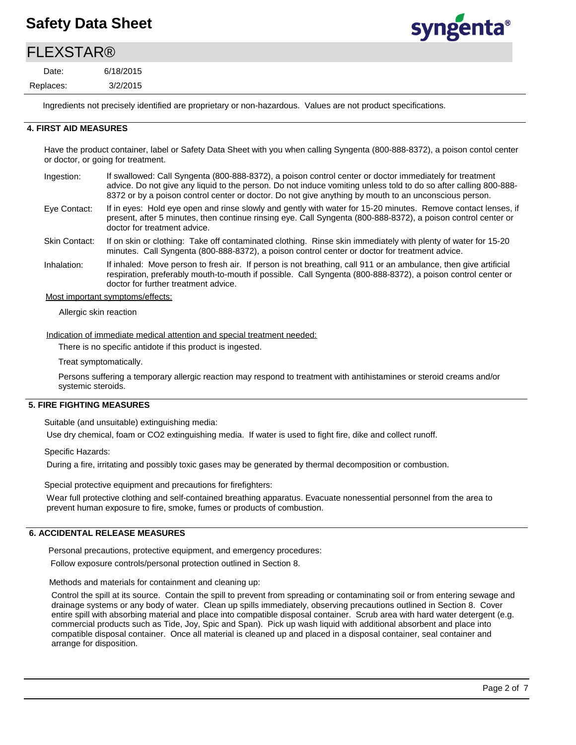# syngenta®

### **FI FXSTAR®**

3/2/2015 6/18/2015 Replaces: Date:

Ingredients not precisely identified are proprietary or non-hazardous. Values are not product specifications.

#### **4. FIRST AID MEASURES**

Have the product container, label or Safety Data Sheet with you when calling Syngenta (800-888-8372), a poison contol center or doctor, or going for treatment.

- If swallowed: Call Syngenta (800-888-8372), a poison control center or doctor immediately for treatment advice. Do not give any liquid to the person. Do not induce vomiting unless told to do so after calling 800-888- 8372 or by a poison control center or doctor. Do not give anything by mouth to an unconscious person. Ingestion:
- If in eyes: Hold eye open and rinse slowly and gently with water for 15-20 minutes. Remove contact lenses, if present, after 5 minutes, then continue rinsing eye. Call Syngenta (800-888-8372), a poison control center or doctor for treatment advice. Eye Contact:
- If on skin or clothing: Take off contaminated clothing. Rinse skin immediately with plenty of water for 15-20 minutes. Call Syngenta (800-888-8372), a poison control center or doctor for treatment advice. Skin Contact:
- If inhaled: Move person to fresh air. If person is not breathing, call 911 or an ambulance, then give artificial respiration, preferably mouth-to-mouth if possible. Call Syngenta (800-888-8372), a poison control center or doctor for further treatment advice. Inhalation:

Most important symptoms/effects:

Allergic skin reaction

Indication of immediate medical attention and special treatment needed:

There is no specific antidote if this product is ingested.

Treat symptomatically.

Persons suffering a temporary allergic reaction may respond to treatment with antihistamines or steroid creams and/or systemic steroids.

#### **5. FIRE FIGHTING MEASURES**

Suitable (and unsuitable) extinguishing media:

Use dry chemical, foam or CO2 extinguishing media. If water is used to fight fire, dike and collect runoff.

Specific Hazards:

During a fire, irritating and possibly toxic gases may be generated by thermal decomposition or combustion.

Special protective equipment and precautions for firefighters:

Wear full protective clothing and self-contained breathing apparatus. Evacuate nonessential personnel from the area to prevent human exposure to fire, smoke, fumes or products of combustion.

#### **6. ACCIDENTAL RELEASE MEASURES**

Personal precautions, protective equipment, and emergency procedures:

Follow exposure controls/personal protection outlined in Section 8.

Methods and materials for containment and cleaning up:

Control the spill at its source. Contain the spill to prevent from spreading or contaminating soil or from entering sewage and drainage systems or any body of water. Clean up spills immediately, observing precautions outlined in Section 8. Cover entire spill with absorbing material and place into compatible disposal container. Scrub area with hard water detergent (e.g. commercial products such as Tide, Joy, Spic and Span). Pick up wash liquid with additional absorbent and place into compatible disposal container. Once all material is cleaned up and placed in a disposal container, seal container and arrange for disposition.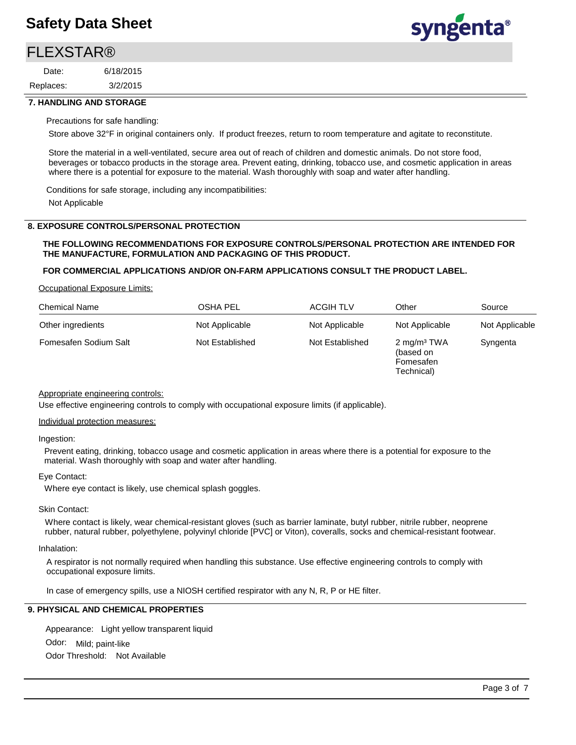### **FI FXSTAR®**

3/2/2015 6/18/2015 Replaces: Date:



#### **7. HANDLING AND STORAGE**

#### Precautions for safe handling:

Store above 32°F in original containers only. If product freezes, return to room temperature and agitate to reconstitute.

Store the material in a well-ventilated, secure area out of reach of children and domestic animals. Do not store food, beverages or tobacco products in the storage area. Prevent eating, drinking, tobacco use, and cosmetic application in areas where there is a potential for exposure to the material. Wash thoroughly with soap and water after handling.

Conditions for safe storage, including any incompatibilities: Not Applicable

#### **8. EXPOSURE CONTROLS/PERSONAL PROTECTION**

#### **THE FOLLOWING RECOMMENDATIONS FOR EXPOSURE CONTROLS/PERSONAL PROTECTION ARE INTENDED FOR THE MANUFACTURE, FORMULATION AND PACKAGING OF THIS PRODUCT.**

#### **FOR COMMERCIAL APPLICATIONS AND/OR ON-FARM APPLICATIONS CONSULT THE PRODUCT LABEL.**

#### Occupational Exposure Limits:

| <b>Chemical Name</b>  | <b>OSHA PEL</b> | <b>ACGIH TLV</b> | Other                                                           | Source         |
|-----------------------|-----------------|------------------|-----------------------------------------------------------------|----------------|
| Other ingredients     | Not Applicable  | Not Applicable   | Not Applicable                                                  | Not Applicable |
| Fomesafen Sodium Salt | Not Established | Not Established  | 2 mg/m <sup>3</sup> TWA<br>(based on<br>Fomesafen<br>Technical) | Syngenta       |

#### Appropriate engineering controls:

Use effective engineering controls to comply with occupational exposure limits (if applicable).

#### Individual protection measures:

#### Ingestion:

Prevent eating, drinking, tobacco usage and cosmetic application in areas where there is a potential for exposure to the material. Wash thoroughly with soap and water after handling.

#### Eye Contact:

Where eye contact is likely, use chemical splash goggles.

#### Skin Contact:

Where contact is likely, wear chemical-resistant gloves (such as barrier laminate, butyl rubber, nitrile rubber, neoprene rubber, natural rubber, polyethylene, polyvinyl chloride [PVC] or Viton), coveralls, socks and chemical-resistant footwear.

#### Inhalation:

A respirator is not normally required when handling this substance. Use effective engineering controls to comply with occupational exposure limits.

In case of emergency spills, use a NIOSH certified respirator with any N, R, P or HE filter.

#### **9. PHYSICAL AND CHEMICAL PROPERTIES**

Odor: Mild; paint-like Appearance: Light yellow transparent liquid Odor Threshold: Not Available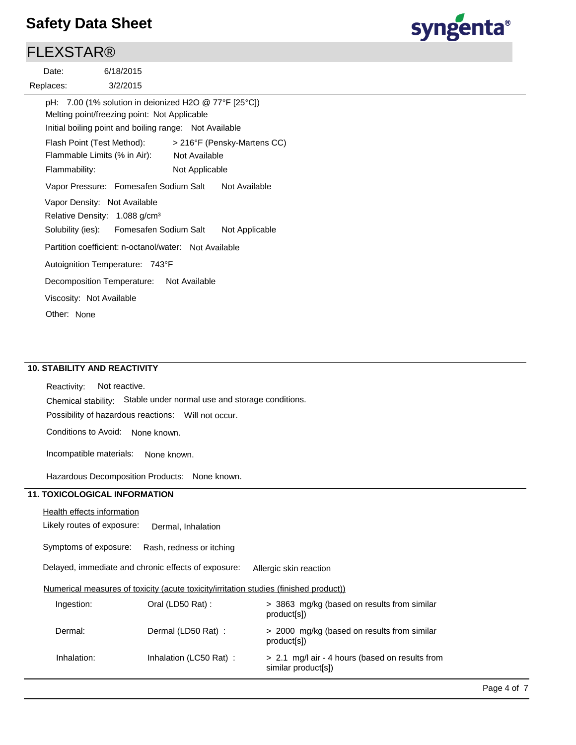### **FLEXSTAR®**

3/2/2015 6/18/2015 Replaces: Date: Flash Point (Test Method): Flammable Limits (% in Air): Vapor Density: Not Available



Vapor Pressure: Fomesafen Sodium Salt Not Available Solubility (ies): pH: 7.00 (1% solution in deionized H2O @ 77°F [25°C]) Initial boiling point and boiling range: Not Available Melting point/freezing point: Not Applicable Not Available Flammability: Not Applicable > 216°F (Pensky-Martens CC) Autoignition Temperature: 743°F Relative Density: 1.088 g/cm<sup>3</sup> Decomposition Temperature: Not Available Viscosity: Not Available Partition coefficient: n-octanol/water: Not Available Other: None Fomesafen Sodium Salt Not Applicable

#### **10. STABILITY AND REACTIVITY**

Possibility of hazardous reactions: Will not occur. Chemical stability: Stable under normal use and storage conditions. Reactivity: Not reactive.

Conditions to Avoid: None known.

Incompatible materials: None known.

Hazardous Decomposition Products: None known.

#### **11. TOXICOLOGICAL INFORMATION**

#### Health effects information

Likely routes of exposure: Dermal, Inhalation

Symptoms of exposure: Rash, redness or itching

Delayed, immediate and chronic effects of exposure: Allergic skin reaction

#### Numerical measures of toxicity (acute toxicity/irritation studies (finished product))

| Ingestion:  | Oral (LD50 Rat):       | > 3863 mg/kg (based on results from similar<br>product[s])             |
|-------------|------------------------|------------------------------------------------------------------------|
| Dermal:     | Dermal (LD50 Rat):     | > 2000 mg/kg (based on results from similar<br>product[s])             |
| Inhalation: | Inhalation (LC50 Rat): | > 2.1 mg/l air - 4 hours (based on results from<br>similar product[s]) |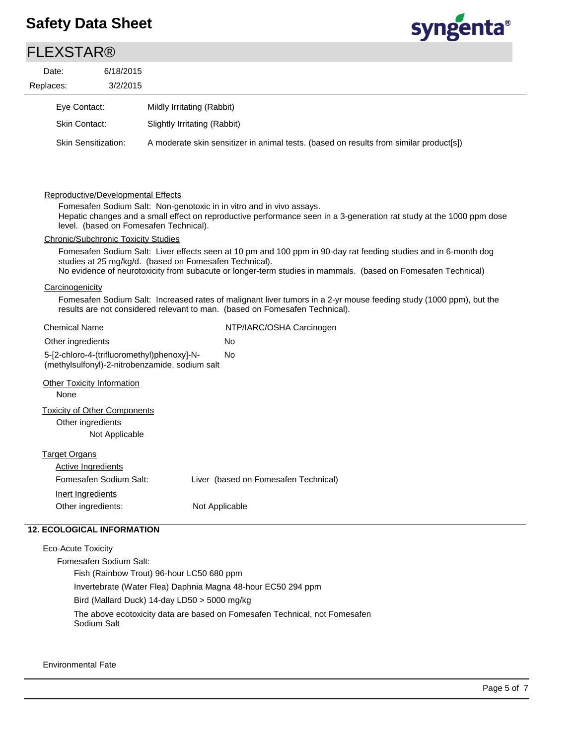

| Date:                    | 6/18/2015                                                                  |                                                                                                                                                                                                                                        |
|--------------------------|----------------------------------------------------------------------------|----------------------------------------------------------------------------------------------------------------------------------------------------------------------------------------------------------------------------------------|
| Replaces:                | 3/2/2015                                                                   |                                                                                                                                                                                                                                        |
| Eye Contact:             |                                                                            | Mildly Irritating (Rabbit)                                                                                                                                                                                                             |
| <b>Skin Contact:</b>     |                                                                            | Slightly Irritating (Rabbit)                                                                                                                                                                                                           |
|                          | <b>Skin Sensitization:</b>                                                 | A moderate skin sensitizer in animal tests. (based on results from similar product[s])                                                                                                                                                 |
|                          | Reproductive/Developmental Effects                                         | Fomesafen Sodium Salt: Non-genotoxic in in vitro and in vivo assays.<br>Hepatic changes and a small effect on reproductive performance seen in a 3-generation rat study at the 1000 ppm dose<br>level. (based on Fomesafen Technical). |
|                          | <b>Chronic/Subchronic Toxicity Studies</b>                                 |                                                                                                                                                                                                                                        |
|                          |                                                                            | Fomesafen Sodium Salt: Liver effects seen at 10 pm and 100 ppm in 90-day rat feeding studies and in 6-month dog<br>studies at 25 mg/kg/d. (based on Fomesafen Technical).                                                              |
|                          |                                                                            | No evidence of neurotoxicity from subacute or longer-term studies in mammals. (based on Fomesafen Technical)                                                                                                                           |
|                          |                                                                            |                                                                                                                                                                                                                                        |
| Carcinogenicity          |                                                                            | Fomesafen Sodium Salt: Increased rates of malignant liver tumors in a 2-yr mouse feeding study (1000 ppm), but the<br>results are not considered relevant to man. (based on Fomesafen Technical).                                      |
| <b>Chemical Name</b>     |                                                                            | NTP/IARC/OSHA Carcinogen                                                                                                                                                                                                               |
| Other ingredients        |                                                                            | <b>No</b>                                                                                                                                                                                                                              |
|                          | 5-[2-chloro-4-(trifluoromethyl)phenoxy]-N-                                 | No<br>(methylsulfonyl)-2-nitrobenzamide, sodium salt                                                                                                                                                                                   |
| None                     | <b>Other Toxicity Information</b>                                          |                                                                                                                                                                                                                                        |
|                          | <b>Toxicity of Other Components</b><br>Other ingredients<br>Not Applicable |                                                                                                                                                                                                                                        |
| <b>Target Organs</b>     |                                                                            |                                                                                                                                                                                                                                        |
|                          | <b>Active Ingredients</b>                                                  |                                                                                                                                                                                                                                        |
|                          | Fomesafen Sodium Salt:                                                     | Liver (based on Fomesafen Technical)                                                                                                                                                                                                   |
| <b>Inert Ingredients</b> |                                                                            |                                                                                                                                                                                                                                        |

Eco-Acute Toxicity

Fomesafen Sodium Salt: Fish (Rainbow Trout) 96-hour LC50 680 ppm Invertebrate (Water Flea) Daphnia Magna 48-hour EC50 294 ppm Bird (Mallard Duck) 14-day LD50 > 5000 mg/kg The above ecotoxicity data are based on Fomesafen Technical, not Fomesafen Sodium Salt

Environmental Fate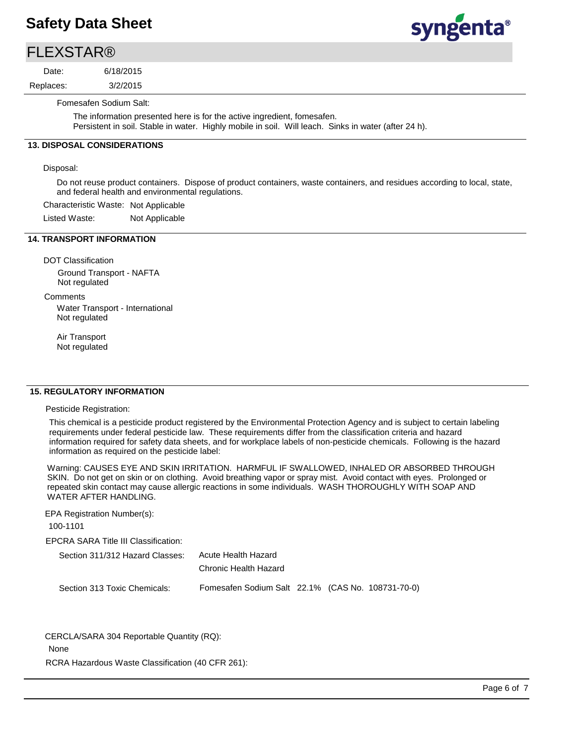### **FLEXSTAR®**

3/2/2015 6/18/2015 Replaces: Date:  $rac{1}{2}$ 

syngenta®

Fomesafen Sodium Salt:

The information presented here is for the active ingredient, fomesafen. Persistent in soil. Stable in water. Highly mobile in soil. Will leach. Sinks in water (after 24 h).

#### **13. DISPOSAL CONSIDERATIONS**

Disposal:

Do not reuse product containers. Dispose of product containers, waste containers, and residues according to local, state, and federal health and environmental regulations.

Characteristic Waste: Not Applicable

Listed Waste: Not Applicable

#### **14. TRANSPORT INFORMATION**

DOT Classification Ground Transport - NAFTA Not regulated

**Comments** 

Water Transport - International Not regulated

Air Transport Not regulated

#### **15. REGULATORY INFORMATION**

Pesticide Registration:

This chemical is a pesticide product registered by the Environmental Protection Agency and is subject to certain labeling requirements under federal pesticide law. These requirements differ from the classification criteria and hazard information required for safety data sheets, and for workplace labels of non-pesticide chemicals. Following is the hazard information as required on the pesticide label:

Warning: CAUSES EYE AND SKIN IRRITATION. HARMFUL IF SWALLOWED, INHALED OR ABSORBED THROUGH SKIN. Do not get on skin or on clothing. Avoid breathing vapor or spray mist. Avoid contact with eyes. Prolonged or repeated skin contact may cause allergic reactions in some individuals. WASH THOROUGHLY WITH SOAP AND WATER AFTER HANDLING.

EPA Registration Number(s):

100-1101

EPCRA SARA Title III Classification:

| Section 311/312 Hazard Classes: | Acute Health Hazard                               |  |  |
|---------------------------------|---------------------------------------------------|--|--|
|                                 | Chronic Health Hazard                             |  |  |
| Section 313 Toxic Chemicals:    | Fomesafen Sodium Salt 22.1% (CAS No. 108731-70-0) |  |  |

CERCLA/SARA 304 Reportable Quantity (RQ):

None

RCRA Hazardous Waste Classification (40 CFR 261):